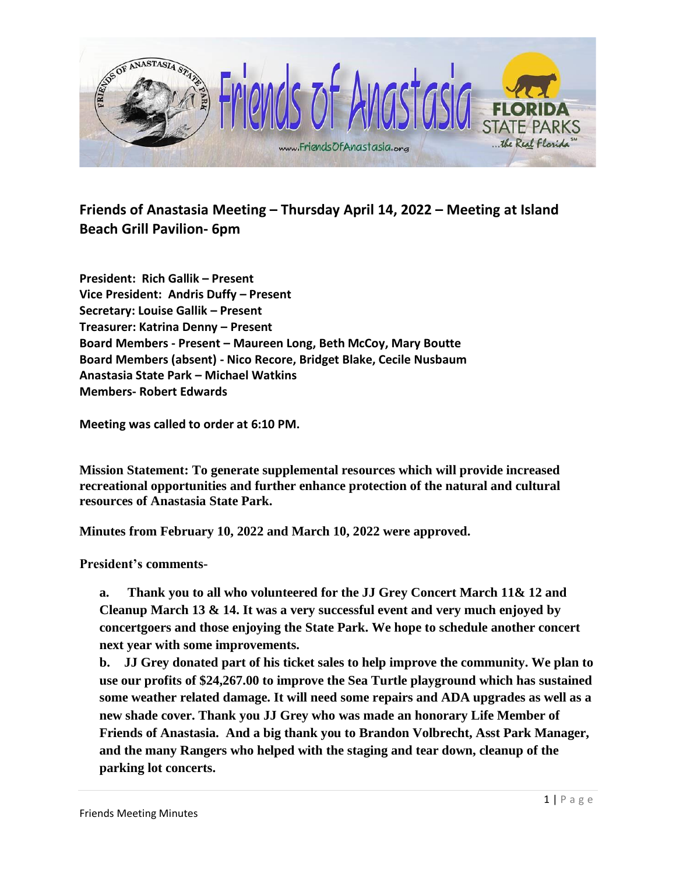

**Friends of Anastasia Meeting – Thursday April 14, 2022 – Meeting at Island Beach Grill Pavilion- 6pm**

**President: Rich Gallik – Present Vice President: Andris Duffy – Present Secretary: Louise Gallik – Present Treasurer: Katrina Denny – Present Board Members - Present – Maureen Long, Beth McCoy, Mary Boutte Board Members (absent) - Nico Recore, Bridget Blake, Cecile Nusbaum Anastasia State Park – Michael Watkins Members- Robert Edwards**

**Meeting was called to order at 6:10 PM.** 

**Mission Statement: To generate supplemental resources which will provide increased recreational opportunities and further enhance protection of the natural and cultural resources of Anastasia State Park.**

**Minutes from February 10, 2022 and March 10, 2022 were approved.** 

**President's comments-**

**a. Thank you to all who volunteered for the JJ Grey Concert March 11& 12 and Cleanup March 13 & 14. It was a very successful event and very much enjoyed by concertgoers and those enjoying the State Park. We hope to schedule another concert next year with some improvements.**

**b. JJ Grey donated part of his ticket sales to help improve the community. We plan to use our profits of \$24,267.00 to improve the Sea Turtle playground which has sustained some weather related damage. It will need some repairs and ADA upgrades as well as a new shade cover. Thank you JJ Grey who was made an honorary Life Member of Friends of Anastasia. And a big thank you to Brandon Volbrecht, Asst Park Manager, and the many Rangers who helped with the staging and tear down, cleanup of the parking lot concerts.**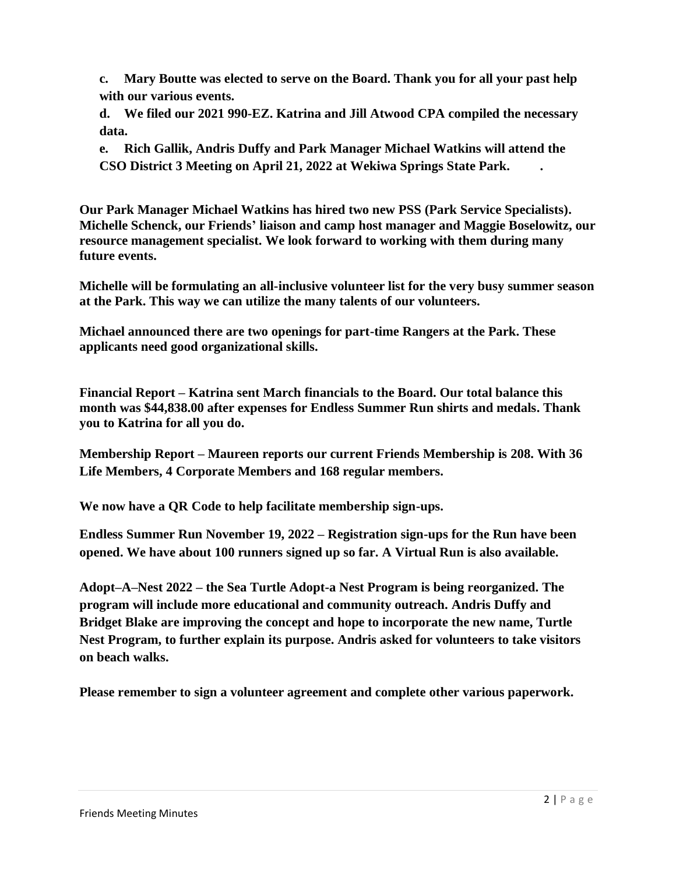**c. Mary Boutte was elected to serve on the Board. Thank you for all your past help with our various events.**

**d. We filed our 2021 990-EZ. Katrina and Jill Atwood CPA compiled the necessary data.**

**e. Rich Gallik, Andris Duffy and Park Manager Michael Watkins will attend the CSO District 3 Meeting on April 21, 2022 at Wekiwa Springs State Park. .**

**Our Park Manager Michael Watkins has hired two new PSS (Park Service Specialists). Michelle Schenck, our Friends' liaison and camp host manager and Maggie Boselowitz, our resource management specialist. We look forward to working with them during many future events.**

**Michelle will be formulating an all-inclusive volunteer list for the very busy summer season at the Park. This way we can utilize the many talents of our volunteers.**

**Michael announced there are two openings for part-time Rangers at the Park. These applicants need good organizational skills.** 

**Financial Report – Katrina sent March financials to the Board. Our total balance this month was \$44,838.00 after expenses for Endless Summer Run shirts and medals. Thank you to Katrina for all you do.**

**Membership Report – Maureen reports our current Friends Membership is 208. With 36 Life Members, 4 Corporate Members and 168 regular members.** 

**We now have a QR Code to help facilitate membership sign-ups.**

**Endless Summer Run November 19, 2022 – Registration sign-ups for the Run have been opened. We have about 100 runners signed up so far. A Virtual Run is also available.**

**Adopt–A–Nest 2022 – the Sea Turtle Adopt-a Nest Program is being reorganized. The program will include more educational and community outreach. Andris Duffy and Bridget Blake are improving the concept and hope to incorporate the new name, Turtle Nest Program, to further explain its purpose. Andris asked for volunteers to take visitors on beach walks.**

**Please remember to sign a volunteer agreement and complete other various paperwork.**